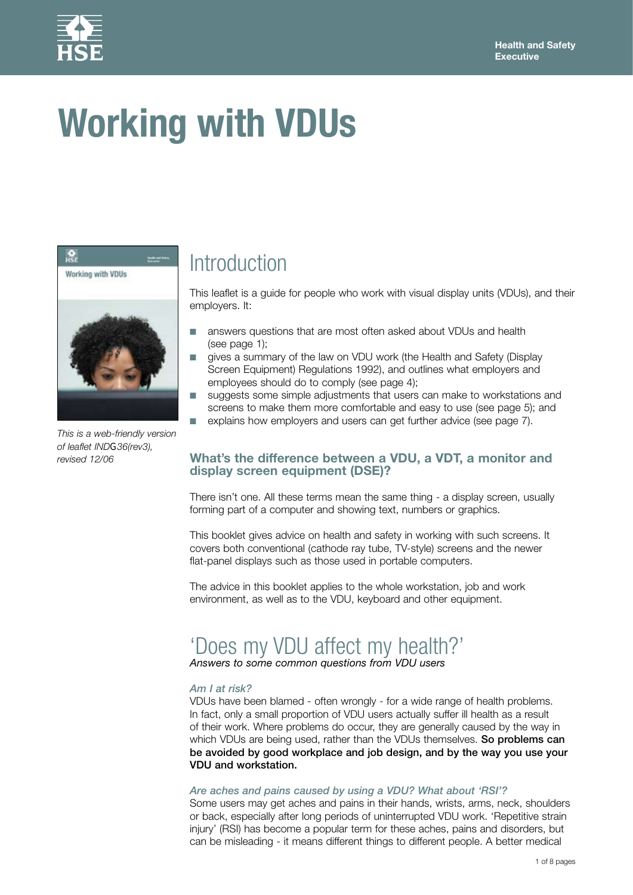

# **Working with VDUs**



*This is a web-friendly version of leaflet INDG36(rev3), revised 12/06* 

# Introduction

This leaflet is a guide for people who work with visual display units (VDUs), and their employers. It:

- answers questions that are most often asked about VDUs and health (see page 1):
- gives a summary of the law on VDU work (the Health and Safety (Display Screen Equipment) Regulations 1992), and outlines what employers and employees should do to comply (see page 4);
- suggests some simple adjustments that users can make to workstations and screens to make them more comfortable and easy to use (see page 5); and
- explains how employers and users can get further advice (see page 7).

#### **What's the difference between a VDU, a VDT, a monitor and display screen equipment (DSE)?**

There isn't one. All these terms mean the same thing - a display screen, usually forming part of a computer and showing text, numbers or graphics.

This booklet gives advice on health and safety in working with such screens. It covers both conventional (cathode ray tube, TV-style) screens and the newer flat-panel displays such as those used in portable computers.

The advice in this booklet applies to the whole workstation, job and work environment, as well as to the VDU, keyboard and other equipment.

# 'Does my VDU affect my health?'

*Answers to some common questions from VDU users* 

#### *Am I at risk?*

VDUs have been blamed - often wrongly - for a wide range of health problems. In fact, only a small proportion of VDU users actually suffer ill health as a result of their work. Where problems do occur, they are generally caused by the way in which VDUs are being used, rather than the VDUs themselves. So problems can be avoided by good workplace and job design, and by the way you use your VDU and workstation.

#### *Are aches and pains caused by using a VDU? What about 'RSI'?*

Some users may get aches and pains in their hands, wrists, arms, neck, shoulders or back, especially after long periods of uninterrupted VDU work. 'Repetitive strain injury' (RSI) has become a popular term for these aches, pains and disorders, but can be misleading - it means different things to different people. A better medical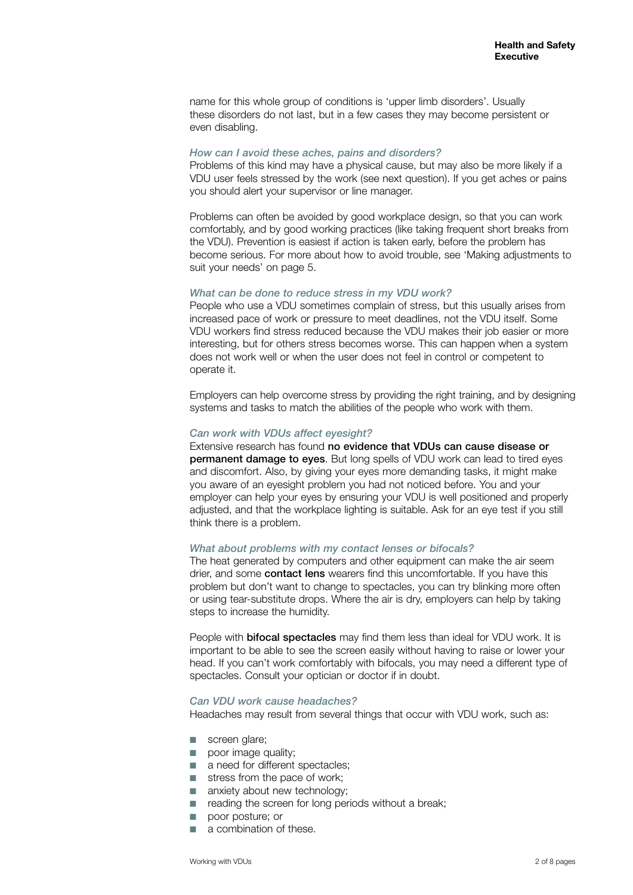name for this whole group of conditions is 'upper limb disorders'. Usually these disorders do not last, but in a few cases they may become persistent or even disabling.

#### *How can I avoid these aches, pains and disorders?*

Problems of this kind may have a physical cause, but may also be more likely if a VDU user feels stressed by the work (see next question). If you get aches or pains you should alert your supervisor or line manager.

Problems can often be avoided by good workplace design, so that you can work comfortably, and by good working practices (like taking frequent short breaks from the VDU). Prevention is easiest if action is taken early, before the problem has become serious. For more about how to avoid trouble, see 'Making adjustments to suit your needs' on page 5.

#### *What can be done to reduce stress in my VDU work?*

People who use a VDU sometimes complain of stress, but this usually arises from increased pace of work or pressure to meet deadlines, not the VDU itself. Some VDU workers find stress reduced because the VDU makes their job easier or more interesting, but for others stress becomes worse. This can happen when a system does not work well or when the user does not feel in control or competent to operate it.

Employers can help overcome stress by providing the right training, and by designing systems and tasks to match the abilities of the people who work with them.

#### *Can work with VDUs affect eyesight?*

Extensive research has found no evidence that VDUs can cause disease or permanent damage to eyes. But long spells of VDU work can lead to tired eyes and discomfort. Also, by giving your eyes more demanding tasks, it might make you aware of an eyesight problem you had not noticed before. You and your employer can help your eyes by ensuring your VDU is well positioned and properly adjusted, and that the workplace lighting is suitable. Ask for an eye test if you still think there is a problem.

#### *What about problems with my contact lenses or bifocals?*

The heat generated by computers and other equipment can make the air seem drier, and some contact lens wearers find this uncomfortable. If you have this problem but don't want to change to spectacles, you can try blinking more often or using tear-substitute drops. Where the air is dry, employers can help by taking steps to increase the humidity.

People with **bifocal spectacles** may find them less than ideal for VDU work. It is important to be able to see the screen easily without having to raise or lower your head. If you can't work comfortably with bifocals, you may need a different type of spectacles. Consult your optician or doctor if in doubt.

#### *Can VDU work cause headaches?*

Headaches may result from several things that occur with VDU work, such as:

- screen glare;
- **Dec** poor image quality;
- a need for different spectacles;
- stress from the pace of work;
- anxiety about new technology;
- reading the screen for long periods without a break;
- poor posture; or
- a combination of these.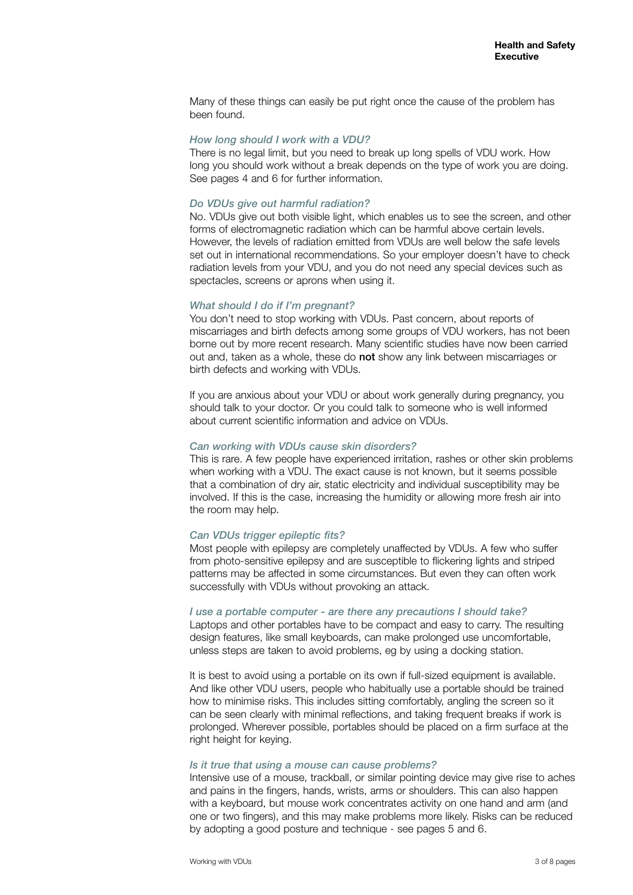Many of these things can easily be put right once the cause of the problem has been found.

#### *How long should I work with a VDU?*

There is no legal limit, but you need to break up long spells of VDU work. How long you should work without a break depends on the type of work you are doing. See pages 4 and 6 for further information.

#### *Do VDUs give out harmful radiation?*

No. VDUs give out both visible light, which enables us to see the screen, and other forms of electromagnetic radiation which can be harmful above certain levels. However, the levels of radiation emitted from VDUs are well below the safe levels set out in international recommendations. So your employer doesn't have to check radiation levels from your VDU, and you do not need any special devices such as spectacles, screens or aprons when using it.

#### *What should I do if I'm pregnant?*

You don't need to stop working with VDUs. Past concern, about reports of miscarriages and birth defects among some groups of VDU workers, has not been borne out by more recent research. Many scientific studies have now been carried out and, taken as a whole, these do not show any link between miscarriages or birth defects and working with VDUs.

If you are anxious about your VDU or about work generally during pregnancy, you should talk to your doctor. Or you could talk to someone who is well informed about current scientific information and advice on VDUs.

#### *Can working with VDUs cause skin disorders?*

This is rare. A few people have experienced irritation, rashes or other skin problems when working with a VDU. The exact cause is not known, but it seems possible that a combination of dry air, static electricity and individual susceptibility may be involved. If this is the case, increasing the humidity or allowing more fresh air into the room may help.

#### *Can VDUs trigger epileptic fits?*

Most people with epilepsy are completely unaffected by VDUs. A few who suffer from photo-sensitive epilepsy and are susceptible to flickering lights and striped patterns may be affected in some circumstances. But even they can often work successfully with VDUs without provoking an attack.

#### *I use a portable computer - are there any precautions I should take?*

Laptops and other portables have to be compact and easy to carry. The resulting design features, like small keyboards, can make prolonged use uncomfortable, unless steps are taken to avoid problems, eg by using a docking station.

It is best to avoid using a portable on its own if full-sized equipment is available. And like other VDU users, people who habitually use a portable should be trained how to minimise risks. This includes sitting comfortably, angling the screen so it can be seen clearly with minimal reflections, and taking frequent breaks if work is prolonged. Wherever possible, portables should be placed on a firm surface at the right height for keying.

#### *Is it true that using a mouse can cause problems?*

Intensive use of a mouse, trackball, or similar pointing device may give rise to aches and pains in the fingers, hands, wrists, arms or shoulders. This can also happen with a keyboard, but mouse work concentrates activity on one hand and arm (and one or two fingers), and this may make problems more likely. Risks can be reduced by adopting a good posture and technique - see pages 5 and 6.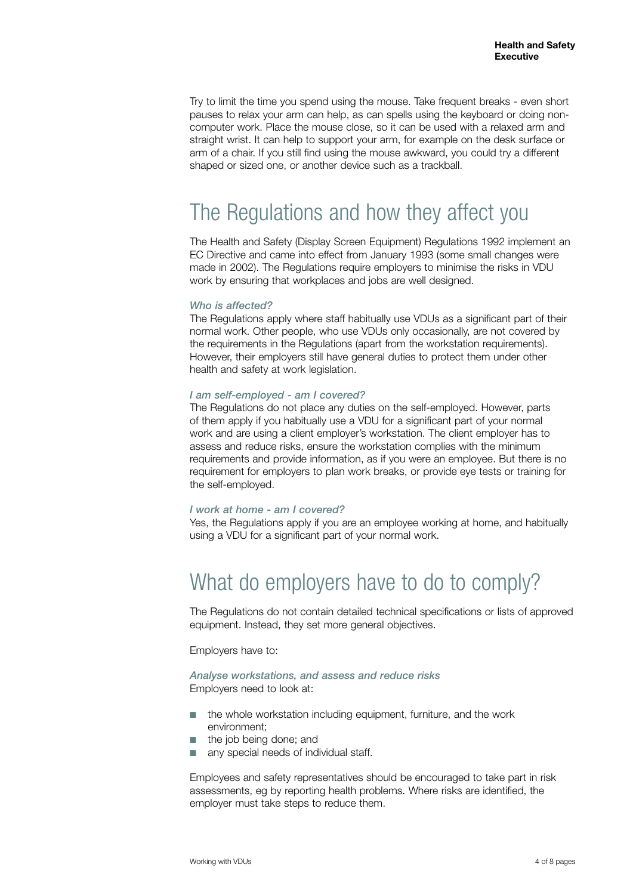Try to limit the time you spend using the mouse. Take frequent breaks - even short pauses to relax your arm can help, as can spells using the keyboard or doing noncomputer work. Place the mouse close, so it can be used with a relaxed arm and straight wrist. It can help to support your arm, for example on the desk surface or arm of a chair. If you still find using the mouse awkward, you could try a different shaped or sized one, or another device such as a trackball.

# The Regulations and how they affect you

The Health and Safety (Display Screen Equipment) Regulations 1992 implement an EC Directive and came into effect from January 1993 (some small changes were made in 2002). The Regulations require employers to minimise the risks in VDU work by ensuring that workplaces and jobs are well designed.

#### *Who is affected?*

The Regulations apply where staff habitually use VDUs as a significant part of their normal work. Other people, who use VDUs only occasionally, are not covered by the requirements in the Regulations (apart from the workstation requirements). However, their employers still have general duties to protect them under other health and safety at work legislation.

#### *I am self-employed - am I covered?*

The Regulations do not place any duties on the self-employed. However, parts of them apply if you habitually use a VDU for a significant part of your normal work and are using a client employer's workstation. The client employer has to assess and reduce risks, ensure the workstation complies with the minimum requirements and provide information, as if you were an employee. But there is no requirement for employers to plan work breaks, or provide eye tests or training for the self-employed.

#### *I work at home - am I covered?*

Yes, the Regulations apply if you are an employee working at home, and habitually using a VDU for a significant part of your normal work.

# What do employers have to do to comply?

The Regulations do not contain detailed technical specifications or lists of approved equipment. Instead, they set more general objectives.

Employers have to:

#### *Analyse workstations, and assess and reduce risks*  Employers need to look at:

- the whole workstation including equipment, furniture, and the work environment;
- the job being done; and
- any special needs of individual staff.

Employees and safety representatives should be encouraged to take part in risk assessments, eg by reporting health problems. Where risks are identified, the employer must take steps to reduce them.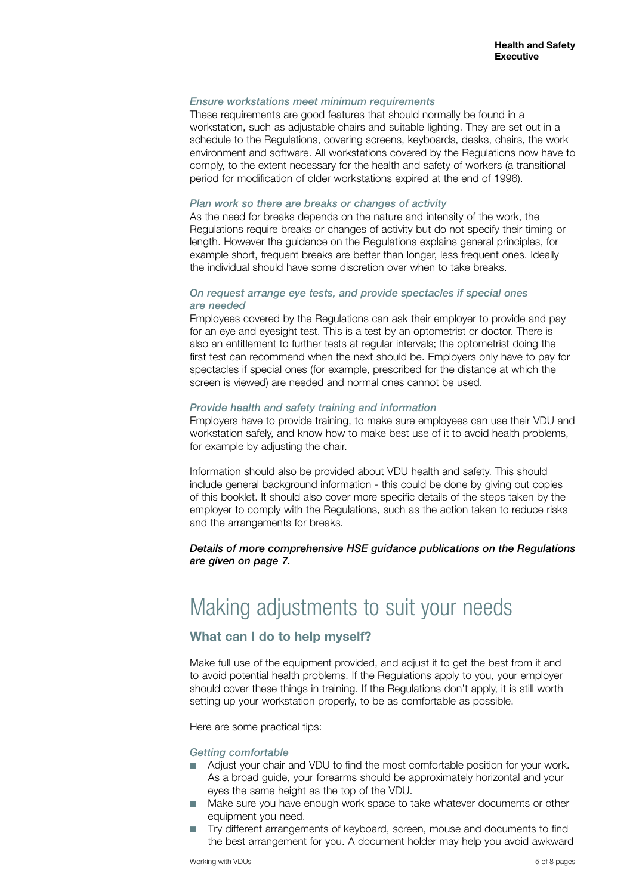#### *Ensure workstations meet minimum requirements*

These requirements are good features that should normally be found in a workstation, such as adjustable chairs and suitable lighting. They are set out in a schedule to the Regulations, covering screens, keyboards, desks, chairs, the work environment and software. All workstations covered by the Regulations now have to comply, to the extent necessary for the health and safety of workers (a transitional period for modification of older workstations expired at the end of 1996).

#### *Plan work so there are breaks or changes of activity*

As the need for breaks depends on the nature and intensity of the work, the Regulations require breaks or changes of activity but do not specify their timing or length. However the guidance on the Regulations explains general principles, for example short, frequent breaks are better than longer, less frequent ones. Ideally the individual should have some discretion over when to take breaks.

#### *On request arrange eye tests, and provide spectacles if special ones are needed*

Employees covered by the Regulations can ask their employer to provide and pay for an eye and eyesight test. This is a test by an optometrist or doctor. There is also an entitlement to further tests at regular intervals; the optometrist doing the first test can recommend when the next should be. Employers only have to pay for spectacles if special ones (for example, prescribed for the distance at which the screen is viewed) are needed and normal ones cannot be used.

#### *Provide health and safety training and information*

Employers have to provide training, to make sure employees can use their VDU and workstation safely, and know how to make best use of it to avoid health problems, for example by adjusting the chair.

Information should also be provided about VDU health and safety. This should include general background information - this could be done by giving out copies of this booklet. It should also cover more specific details of the steps taken by the employer to comply with the Regulations, such as the action taken to reduce risks and the arrangements for breaks.

*Details of more comprehensive HSE guidance publications on the Regulations are given on page 7.* 

# Making adjustments to suit your needs

#### **What can I do to help myself?**

Make full use of the equipment provided, and adjust it to get the best from it and to avoid potential health problems. If the Regulations apply to you, your employer should cover these things in training. If the Regulations don't apply, it is still worth setting up your workstation properly, to be as comfortable as possible.

Here are some practical tips:

#### *Getting comfortable*

- Adjust your chair and VDU to find the most comfortable position for your work. As a broad guide, your forearms should be approximately horizontal and your eyes the same height as the top of the VDU.
- Make sure you have enough work space to take whatever documents or other equipment you need.
- Try different arrangements of keyboard, screen, mouse and documents to find the best arrangement for you. A document holder may help you avoid awkward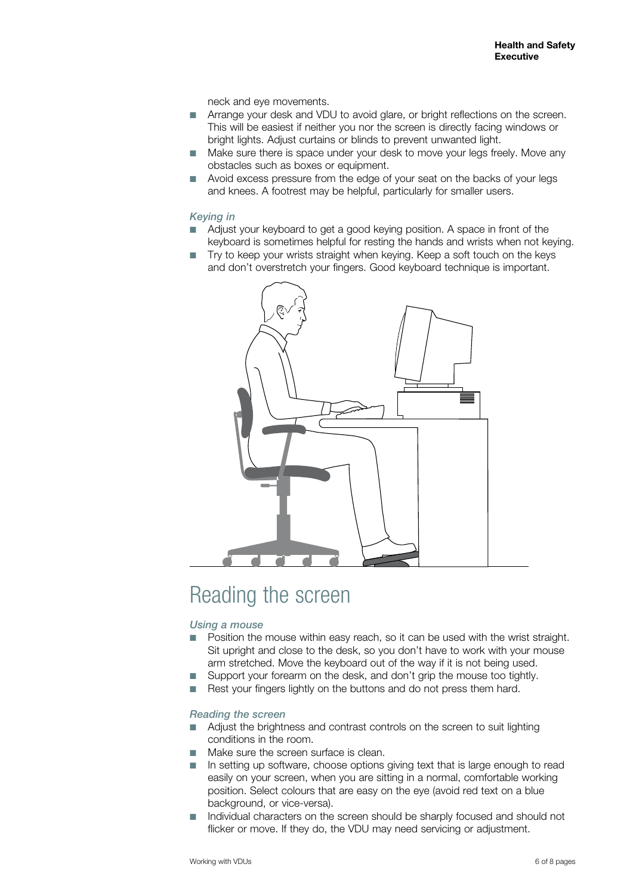neck and eye movements.

- Arrange your desk and VDU to avoid glare, or bright reflections on the screen. This will be easiest if neither you nor the screen is directly facing windows or bright lights. Adjust curtains or blinds to prevent unwanted light.
- Make sure there is space under your desk to move your legs freely. Move any obstacles such as boxes or equipment.
- Avoid excess pressure from the edge of your seat on the backs of your legs and knees. A footrest may be helpful, particularly for smaller users.

#### *Keying in*

- Adjust your keyboard to get a good keying position. A space in front of the keyboard is sometimes helpful for resting the hands and wrists when not keying.
- Try to keep your wrists straight when keying. Keep a soft touch on the keys and don't overstretch your fingers. Good keyboard technique is important.



# Reading the screen

#### *Using a mouse*

- Position the mouse within easy reach, so it can be used with the wrist straight. Sit upright and close to the desk, so you don't have to work with your mouse arm stretched. Move the keyboard out of the way if it is not being used.
- Support your forearm on the desk, and don't grip the mouse too tightly.
- Rest your fingers lightly on the buttons and do not press them hard.

#### *Reading the screen*

- Adjust the brightness and contrast controls on the screen to suit lighting conditions in the room.
- Make sure the screen surface is clean.
- In setting up software, choose options giving text that is large enough to read easily on your screen, when you are sitting in a normal, comfortable working position. Select colours that are easy on the eye (avoid red text on a blue background, or vice-versa).
- Individual characters on the screen should be sharply focused and should not flicker or move. If they do, the VDU may need servicing or adjustment.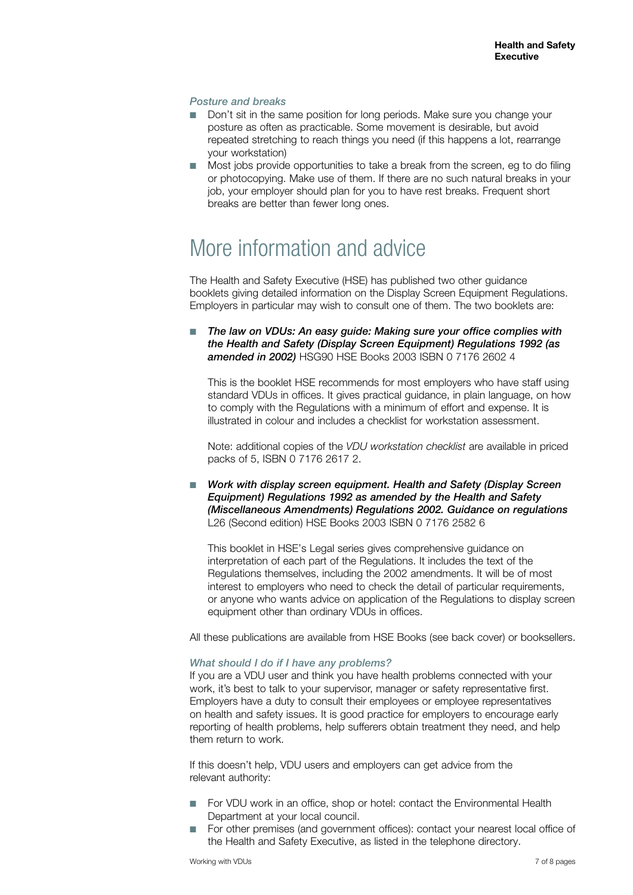#### *Posture and breaks*

- Don't sit in the same position for long periods. Make sure you change your posture as often as practicable. Some movement is desirable, but avoid repeated stretching to reach things you need (if this happens a lot, rearrange your workstation)
- Most jobs provide opportunities to take a break from the screen, eg to do filing or photocopying. Make use of them. If there are no such natural breaks in your job, your employer should plan for you to have rest breaks. Frequent short breaks are better than fewer long ones.

### More information and advice

The Health and Safety Executive (HSE) has published two other guidance booklets giving detailed information on the Display Screen Equipment Regulations. Employers in particular may wish to consult one of them. The two booklets are:

The law on VDUs: An easy quide: Making sure your office complies with *the Health and Safety (Display Screen Equipment) Regulations 1992 (as*  **amended in 2002)** HSG90 HSE Books 2003 ISBN 0 7176 2602 4

This is the booklet HSE recommends for most employers who have staff using standard VDUs in offices. It gives practical guidance, in plain language, on how to comply with the Regulations with a minimum of effort and expense. It is illustrated in colour and includes a checklist for workstation assessment.

Note: additional copies of the *VDU workstation checklist* are available in priced packs of 5, ISBN 0 7176 2617 2.

■ Work with display screen equipment. Health and Safety (Display Screen *Equipment) Regulations 1992 as amended by the Health and Safety (Miscellaneous Amendments) Regulations 2002. Guidance on regulations*  L26 (Second edition) HSE Books 2003 ISBN 0 7176 2582 6

This booklet in HSE's Legal series gives comprehensive guidance on interpretation of each part of the Regulations. It includes the text of the Regulations themselves, including the 2002 amendments. It will be of most interest to employers who need to check the detail of particular requirements, or anyone who wants advice on application of the Regulations to display screen equipment other than ordinary VDUs in offices.

All these publications are available from HSE Books (see back cover) or booksellers.

#### *What should I do if I have any problems?*

If you are a VDU user and think you have health problems connected with your work, it's best to talk to your supervisor, manager or safety representative first. Employers have a duty to consult their employees or employee representatives on health and safety issues. It is good practice for employers to encourage early reporting of health problems, help sufferers obtain treatment they need, and help them return to work.

If this doesn't help, VDU users and employers can get advice from the relevant authority:

- For VDU work in an office, shop or hotel: contact the Environmental Health Department at your local council.
- For other premises (and government offices): contact your nearest local office of the Health and Safety Executive, as listed in the telephone directory.